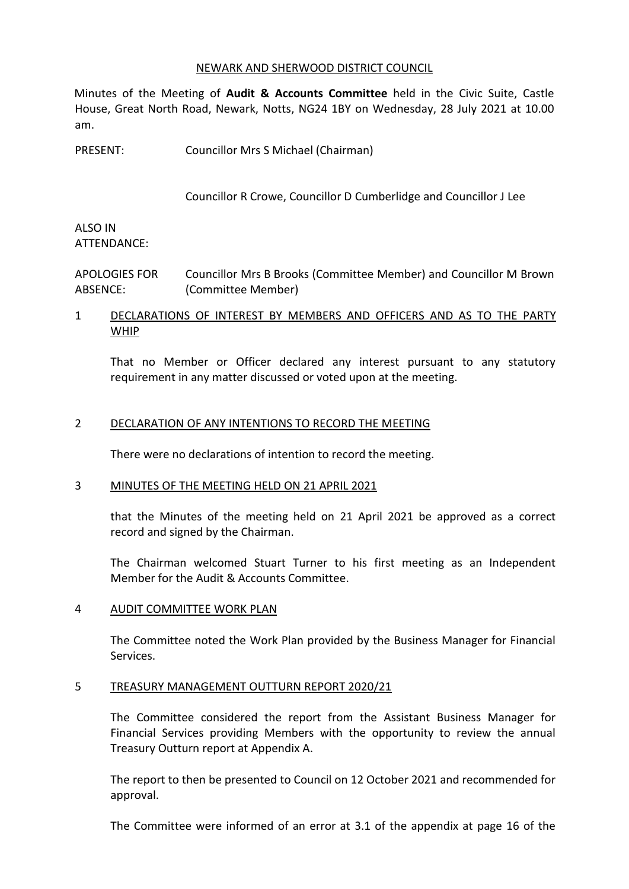#### NEWARK AND SHERWOOD DISTRICT COUNCIL

Minutes of the Meeting of **Audit & Accounts Committee** held in the Civic Suite, Castle House, Great North Road, Newark, Notts, NG24 1BY on Wednesday, 28 July 2021 at 10.00 am.

PRESENT: Councillor Mrs S Michael (Chairman)

Councillor R Crowe, Councillor D Cumberlidge and Councillor J Lee

### ALSO IN ATTENDANCE:

APOLOGIES FOR ABSENCE: Councillor Mrs B Brooks (Committee Member) and Councillor M Brown (Committee Member)

# 1 DECLARATIONS OF INTEREST BY MEMBERS AND OFFICERS AND AS TO THE PARTY WHIP

That no Member or Officer declared any interest pursuant to any statutory requirement in any matter discussed or voted upon at the meeting.

### 2 DECLARATION OF ANY INTENTIONS TO RECORD THE MEETING

There were no declarations of intention to record the meeting.

### 3 MINUTES OF THE MEETING HELD ON 21 APRIL 2021

that the Minutes of the meeting held on 21 April 2021 be approved as a correct record and signed by the Chairman.

The Chairman welcomed Stuart Turner to his first meeting as an Independent Member for the Audit & Accounts Committee.

### 4 AUDIT COMMITTEE WORK PLAN

The Committee noted the Work Plan provided by the Business Manager for Financial Services.

### 5 TREASURY MANAGEMENT OUTTURN REPORT 2020/21

The Committee considered the report from the Assistant Business Manager for Financial Services providing Members with the opportunity to review the annual Treasury Outturn report at Appendix A.

The report to then be presented to Council on 12 October 2021 and recommended for approval.

The Committee were informed of an error at 3.1 of the appendix at page 16 of the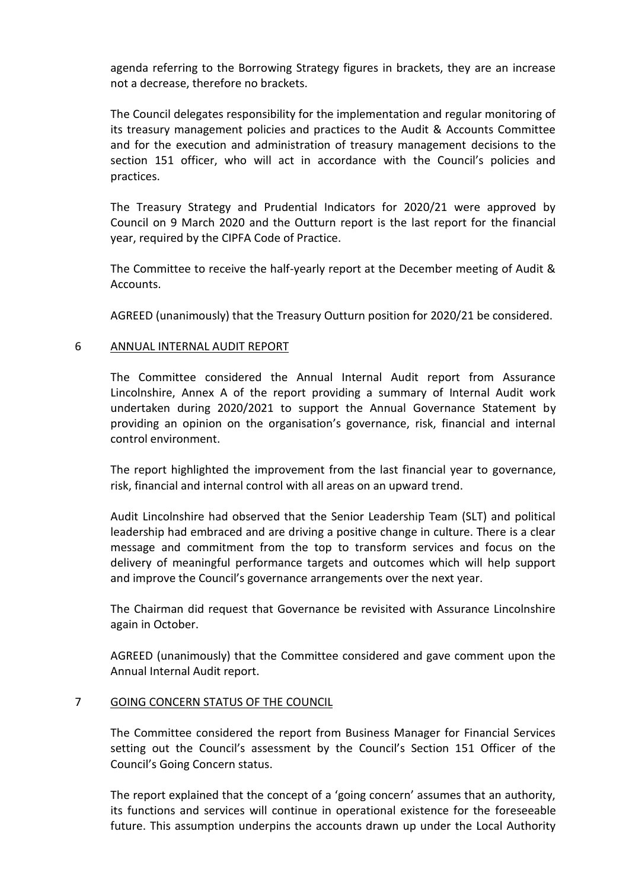agenda referring to the Borrowing Strategy figures in brackets, they are an increase not a decrease, therefore no brackets.

The Council delegates responsibility for the implementation and regular monitoring of its treasury management policies and practices to the Audit & Accounts Committee and for the execution and administration of treasury management decisions to the section 151 officer, who will act in accordance with the Council's policies and practices.

The Treasury Strategy and Prudential Indicators for 2020/21 were approved by Council on 9 March 2020 and the Outturn report is the last report for the financial year, required by the CIPFA Code of Practice.

The Committee to receive the half-yearly report at the December meeting of Audit & Accounts.

AGREED (unanimously) that the Treasury Outturn position for 2020/21 be considered.

### 6 ANNUAL INTERNAL AUDIT REPORT

The Committee considered the Annual Internal Audit report from Assurance Lincolnshire, Annex A of the report providing a summary of Internal Audit work undertaken during 2020/2021 to support the Annual Governance Statement by providing an opinion on the organisation's governance, risk, financial and internal control environment.

The report highlighted the improvement from the last financial year to governance, risk, financial and internal control with all areas on an upward trend.

Audit Lincolnshire had observed that the Senior Leadership Team (SLT) and political leadership had embraced and are driving a positive change in culture. There is a clear message and commitment from the top to transform services and focus on the delivery of meaningful performance targets and outcomes which will help support and improve the Council's governance arrangements over the next year.

The Chairman did request that Governance be revisited with Assurance Lincolnshire again in October.

AGREED (unanimously) that the Committee considered and gave comment upon the Annual Internal Audit report.

### 7 GOING CONCERN STATUS OF THE COUNCIL

The Committee considered the report from Business Manager for Financial Services setting out the Council's assessment by the Council's Section 151 Officer of the Council's Going Concern status.

The report explained that the concept of a 'going concern' assumes that an authority, its functions and services will continue in operational existence for the foreseeable future. This assumption underpins the accounts drawn up under the Local Authority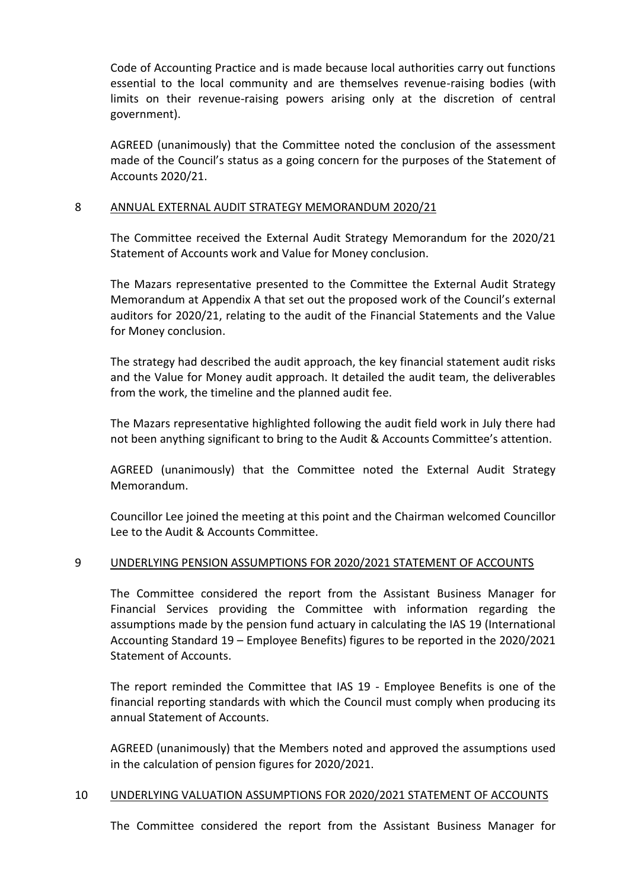Code of Accounting Practice and is made because local authorities carry out functions essential to the local community and are themselves revenue-raising bodies (with limits on their revenue-raising powers arising only at the discretion of central government).

AGREED (unanimously) that the Committee noted the conclusion of the assessment made of the Council's status as a going concern for the purposes of the Statement of Accounts 2020/21.

### 8 ANNUAL EXTERNAL AUDIT STRATEGY MEMORANDUM 2020/21

The Committee received the External Audit Strategy Memorandum for the 2020/21 Statement of Accounts work and Value for Money conclusion.

The Mazars representative presented to the Committee the External Audit Strategy Memorandum at Appendix A that set out the proposed work of the Council's external auditors for 2020/21, relating to the audit of the Financial Statements and the Value for Money conclusion.

The strategy had described the audit approach, the key financial statement audit risks and the Value for Money audit approach. It detailed the audit team, the deliverables from the work, the timeline and the planned audit fee.

The Mazars representative highlighted following the audit field work in July there had not been anything significant to bring to the Audit & Accounts Committee's attention.

AGREED (unanimously) that the Committee noted the External Audit Strategy Memorandum.

Councillor Lee joined the meeting at this point and the Chairman welcomed Councillor Lee to the Audit & Accounts Committee.

### 9 UNDERLYING PENSION ASSUMPTIONS FOR 2020/2021 STATEMENT OF ACCOUNTS

The Committee considered the report from the Assistant Business Manager for Financial Services providing the Committee with information regarding the assumptions made by the pension fund actuary in calculating the IAS 19 (International Accounting Standard 19 – Employee Benefits) figures to be reported in the 2020/2021 Statement of Accounts.

The report reminded the Committee that IAS 19 - Employee Benefits is one of the financial reporting standards with which the Council must comply when producing its annual Statement of Accounts.

AGREED (unanimously) that the Members noted and approved the assumptions used in the calculation of pension figures for 2020/2021.

### 10 UNDERLYING VALUATION ASSUMPTIONS FOR 2020/2021 STATEMENT OF ACCOUNTS

The Committee considered the report from the Assistant Business Manager for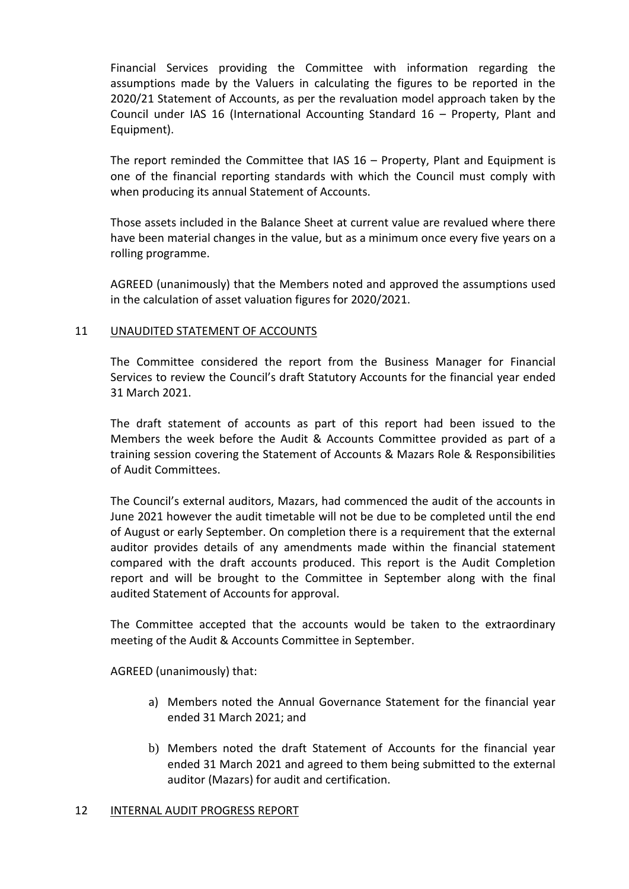Financial Services providing the Committee with information regarding the assumptions made by the Valuers in calculating the figures to be reported in the 2020/21 Statement of Accounts, as per the revaluation model approach taken by the Council under IAS 16 (International Accounting Standard 16 – Property, Plant and Equipment).

The report reminded the Committee that IAS 16 – Property, Plant and Equipment is one of the financial reporting standards with which the Council must comply with when producing its annual Statement of Accounts.

Those assets included in the Balance Sheet at current value are revalued where there have been material changes in the value, but as a minimum once every five years on a rolling programme.

AGREED (unanimously) that the Members noted and approved the assumptions used in the calculation of asset valuation figures for 2020/2021.

### 11 UNAUDITED STATEMENT OF ACCOUNTS

The Committee considered the report from the Business Manager for Financial Services to review the Council's draft Statutory Accounts for the financial year ended 31 March 2021.

The draft statement of accounts as part of this report had been issued to the Members the week before the Audit & Accounts Committee provided as part of a training session covering the Statement of Accounts & Mazars Role & Responsibilities of Audit Committees.

The Council's external auditors, Mazars, had commenced the audit of the accounts in June 2021 however the audit timetable will not be due to be completed until the end of August or early September. On completion there is a requirement that the external auditor provides details of any amendments made within the financial statement compared with the draft accounts produced. This report is the Audit Completion report and will be brought to the Committee in September along with the final audited Statement of Accounts for approval.

The Committee accepted that the accounts would be taken to the extraordinary meeting of the Audit & Accounts Committee in September.

AGREED (unanimously) that:

- a) Members noted the Annual Governance Statement for the financial year ended 31 March 2021; and
- b) Members noted the draft Statement of Accounts for the financial year ended 31 March 2021 and agreed to them being submitted to the external auditor (Mazars) for audit and certification.

### 12 INTERNAL AUDIT PROGRESS REPORT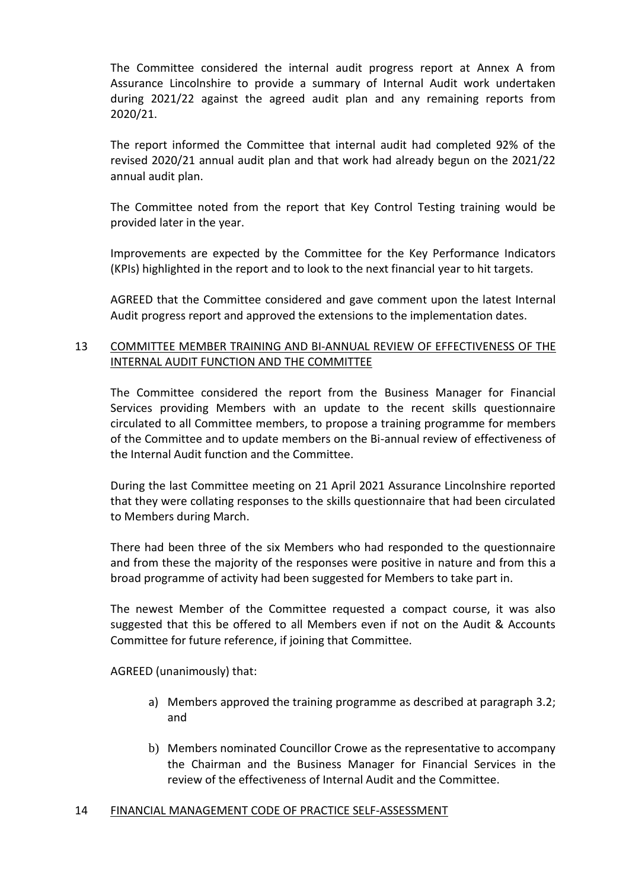The Committee considered the internal audit progress report at Annex A from Assurance Lincolnshire to provide a summary of Internal Audit work undertaken during 2021/22 against the agreed audit plan and any remaining reports from 2020/21.

The report informed the Committee that internal audit had completed 92% of the revised 2020/21 annual audit plan and that work had already begun on the 2021/22 annual audit plan.

The Committee noted from the report that Key Control Testing training would be provided later in the year.

Improvements are expected by the Committee for the Key Performance Indicators (KPIs) highlighted in the report and to look to the next financial year to hit targets.

AGREED that the Committee considered and gave comment upon the latest Internal Audit progress report and approved the extensions to the implementation dates.

# 13 COMMITTEE MEMBER TRAINING AND BI-ANNUAL REVIEW OF EFFECTIVENESS OF THE INTERNAL AUDIT FUNCTION AND THE COMMITTEE

The Committee considered the report from the Business Manager for Financial Services providing Members with an update to the recent skills questionnaire circulated to all Committee members, to propose a training programme for members of the Committee and to update members on the Bi-annual review of effectiveness of the Internal Audit function and the Committee.

During the last Committee meeting on 21 April 2021 Assurance Lincolnshire reported that they were collating responses to the skills questionnaire that had been circulated to Members during March.

There had been three of the six Members who had responded to the questionnaire and from these the majority of the responses were positive in nature and from this a broad programme of activity had been suggested for Members to take part in.

The newest Member of the Committee requested a compact course, it was also suggested that this be offered to all Members even if not on the Audit & Accounts Committee for future reference, if joining that Committee.

AGREED (unanimously) that:

- a) Members approved the training programme as described at paragraph 3.2; and
- b) Members nominated Councillor Crowe as the representative to accompany the Chairman and the Business Manager for Financial Services in the review of the effectiveness of Internal Audit and the Committee.

### 14 FINANCIAL MANAGEMENT CODE OF PRACTICE SELF-ASSESSMENT